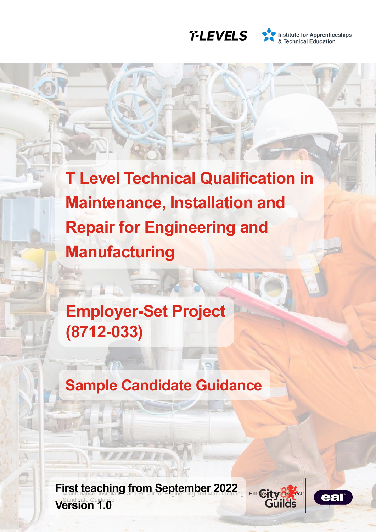

Institute for Apprenticeships<br>
& Technical Education

**T Level Technical Qualification in Maintenance, Installation and Repair for Engineering and Manufacturing**

**Employer-Set Project (8712-033)**

**Sample Candidate Guidance**

**First teaching from September 2022** Candidate Guidance **Lersion 1.0 Version 1.0** 



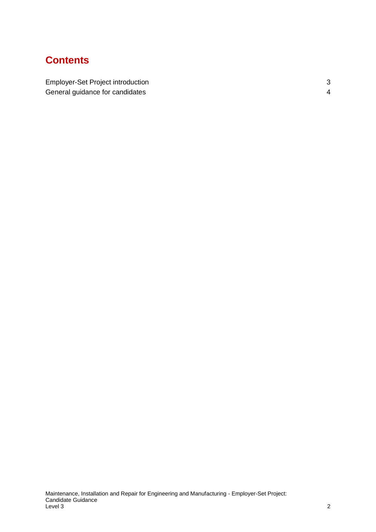# **Contents**

[Employer-Set Project introduction](#page-2-0) 3 [General guidance for candidates](#page-3-0) **4** and the set of the set of the set of the set of the set of the set of the set of the set of the set of the set of the set of the set of the set of the set of the set of the set of the se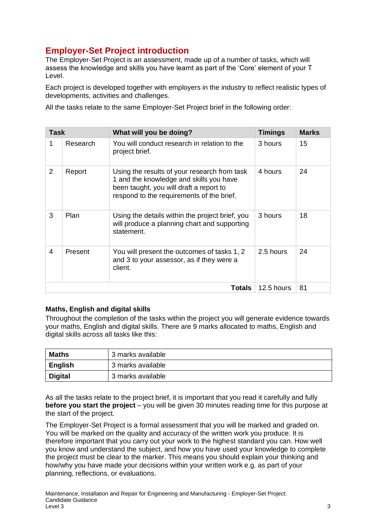# <span id="page-2-0"></span>**Employer-Set Project introduction**

The Employer-Set Project is an assessment, made up of a number of tasks, which will assess the knowledge and skills you have learnt as part of the 'Core' element of your T Level.

Each project is developed together with employers in the industry to reflect realistic types of developments, activities and challenges.

All the tasks relate to the same Employer-Set Project brief in the following order:

| <b>Task</b>    |          | What will you be doing?                                                                                                                                                         | <b>Timings</b> | <b>Marks</b> |
|----------------|----------|---------------------------------------------------------------------------------------------------------------------------------------------------------------------------------|----------------|--------------|
| 1              | Research | You will conduct research in relation to the<br>project brief.                                                                                                                  | 3 hours        | 15           |
| $\overline{2}$ | Report   | Using the results of your research from task<br>1 and the knowledge and skills you have<br>been taught, you will draft a report to<br>respond to the requirements of the brief. | 4 hours        | 24           |
| 3              | Plan     | Using the details within the project brief, you<br>will produce a planning chart and supporting<br>statement.                                                                   | 3 hours        | 18           |
| 4              | Present  | You will present the outcomes of tasks 1, 2<br>and 3 to your assessor, as if they were a<br>client.                                                                             | 2.5 hours      | 24           |
|                |          | 12.5 hours                                                                                                                                                                      | 81             |              |

### **Maths, English and digital skills**

Throughout the completion of the tasks within the project you will generate evidence towards your maths, English and digital skills. There are 9 marks allocated to maths, English and digital skills across all tasks like this:

| Maths          | 3 marks available |
|----------------|-------------------|
| <b>English</b> | 3 marks available |
| <b>Digital</b> | 3 marks available |

As all the tasks relate to the project brief, it is important that you read it carefully and fully **before you start the project** – you will be given 30 minutes reading time for this purpose at the start of the project.

The Employer-Set Project is a formal assessment that you will be marked and graded on. You will be marked on the quality and accuracy of the written work you produce. It is therefore important that you carry out your work to the highest standard you can. How well you know and understand the subject, and how you have used your knowledge to complete the project must be clear to the marker. This means you should explain your thinking and how/why you have made your decisions within your written work e.g. as part of your planning, reflections, or evaluations.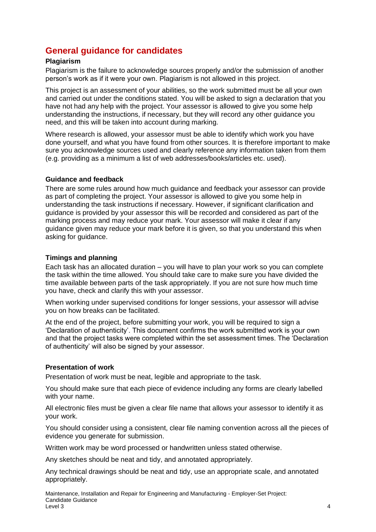## <span id="page-3-0"></span>**General guidance for candidates**

#### **Plagiarism**

Plagiarism is the failure to acknowledge sources properly and/or the submission of another person's work as if it were your own. Plagiarism is not allowed in this project.

This project is an assessment of your abilities, so the work submitted must be all your own and carried out under the conditions stated. You will be asked to sign a declaration that you have not had any help with the project. Your assessor is allowed to give you some help understanding the instructions, if necessary, but they will record any other guidance you need, and this will be taken into account during marking.

Where research is allowed, your assessor must be able to identify which work you have done yourself, and what you have found from other sources. It is therefore important to make sure you acknowledge sources used and clearly reference any information taken from them (e.g. providing as a minimum a list of web addresses/books/articles etc. used).

#### **Guidance and feedback**

There are some rules around how much guidance and feedback your assessor can provide as part of completing the project. Your assessor is allowed to give you some help in understanding the task instructions if necessary. However, if significant clarification and guidance is provided by your assessor this will be recorded and considered as part of the marking process and may reduce your mark. Your assessor will make it clear if any guidance given may reduce your mark before it is given, so that you understand this when asking for guidance.

#### **Timings and planning**

Each task has an allocated duration – you will have to plan your work so you can complete the task within the time allowed. You should take care to make sure you have divided the time available between parts of the task appropriately. If you are not sure how much time you have, check and clarify this with your assessor.

When working under supervised conditions for longer sessions, your assessor will advise you on how breaks can be facilitated.

At the end of the project, before submitting your work, you will be required to sign a 'Declaration of authenticity'. This document confirms the work submitted work is your own and that the project tasks were completed within the set assessment times. The 'Declaration of authenticity' will also be signed by your assessor.

#### **Presentation of work**

Presentation of work must be neat, legible and appropriate to the task.

You should make sure that each piece of evidence including any forms are clearly labelled with your name.

All electronic files must be given a clear file name that allows your assessor to identify it as your work.

You should consider using a consistent, clear file naming convention across all the pieces of evidence you generate for submission.

Written work may be word processed or handwritten unless stated otherwise.

Any sketches should be neat and tidy, and annotated appropriately.

Any technical drawings should be neat and tidy, use an appropriate scale, and annotated appropriately.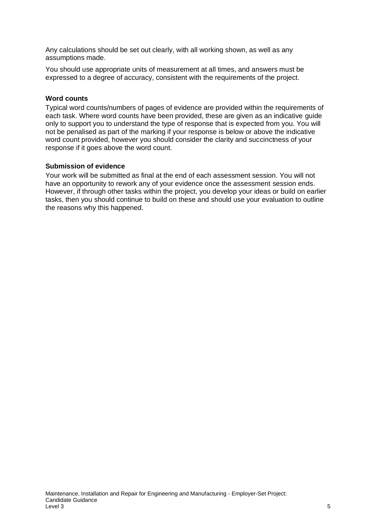Any calculations should be set out clearly, with all working shown, as well as any assumptions made.

You should use appropriate units of measurement at all times, and answers must be expressed to a degree of accuracy, consistent with the requirements of the project.

#### **Word counts**

Typical word counts/numbers of pages of evidence are provided within the requirements of each task. Where word counts have been provided, these are given as an indicative guide only to support you to understand the type of response that is expected from you. You will not be penalised as part of the marking if your response is below or above the indicative word count provided, however you should consider the clarity and succinctness of your response if it goes above the word count.

#### **Submission of evidence**

Your work will be submitted as final at the end of each assessment session. You will not have an opportunity to rework any of your evidence once the assessment session ends. However, if through other tasks within the project, you develop your ideas or build on earlier tasks, then you should continue to build on these and should use your evaluation to outline the reasons why this happened.